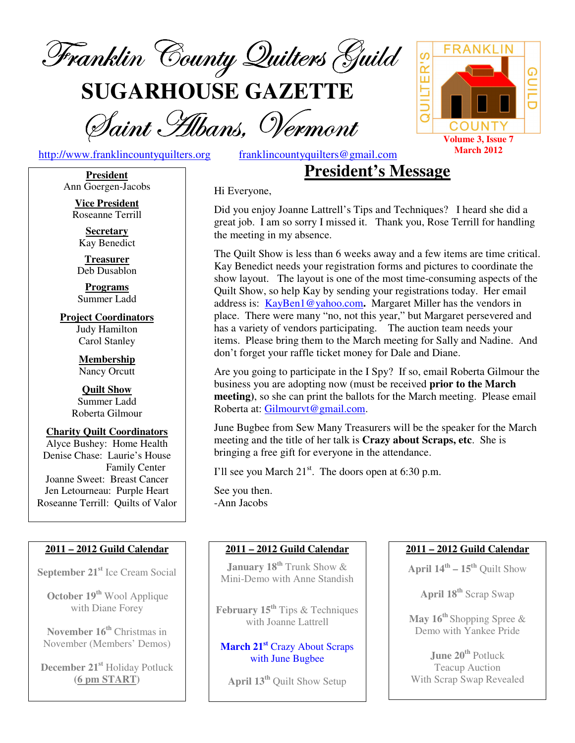

**SUGARHOUSE GAZETTE**

Saint Albans, Vermont

http://www.franklincountyquilters.org franklincountyquilters@gmail.com

**President** Ann Goergen-Jacobs

> **Vice President** Roseanne Terrill

**Secretary** Kay Benedict

**Treasurer** Deb Dusablon

**Programs** Summer Ladd

**Project Coordinators** Judy Hamilton Carol Stanley

> **Membership** Nancy Orcutt

**Quilt Show** Summer Ladd Roberta Gilmour

**Charity Quilt Coordinators** Alyce Bushey: Home Health Denise Chase: Laurie's House Family Center Joanne Sweet: Breast Cancer Jen Letourneau: Purple Heart Roseanne Terrill: Quilts of Valor

## **2011 – 2012 Guild Calendar**

**September 21 st** Ice Cream Social

**October 19 th** Wool Applique with Diane Forey

**November 16 th** Christmas in November (Members' Demos)

**December 21 st** Holiday Potluck **(6 pm START)**

# **President's Message**

Hi Everyone,

Did you enjoy Joanne Lattrell's Tips and Techniques? I heard she did a great job. I am so sorry I missed it. Thank you, Rose Terrill for handling the meeting in my absence.

The Quilt Show is less than 6 weeks away and a few items are time critical. Kay Benedict needs your registration forms and pictures to coordinate the show layout. The layout is one of the most time-consuming aspects of the Quilt Show, so help Kay by sending your registrations today. Her email address is: KayBen1@yahoo.com**.** Margaret Miller has the vendors in place. There were many "no, not this year," but Margaret persevered and has a variety of vendors participating. The auction team needs your items. Please bring them to the March meeting for Sally and Nadine. And don't forget your raffle ticket money for Dale and Diane.

Are you going to participate in the I Spy? If so, email Roberta Gilmour the business you are adopting now (must be received **prior to the March meeting)**, so she can print the ballots for the March meeting. Please email Roberta at: Gilmourvt@gmail.com.

June Bugbee from Sew Many Treasurers will be the speaker for the March meeting and the title of her talk is **Crazy about Scraps, etc**. She is bringing a free gift for everyone in the attendance.

I'll see you March 21<sup>st</sup>. The doors open at 6:30 p.m.

See you then. -Ann Jacobs

## **2011 – 2012 Guild Calendar**

**January 18 th** Trunk Show & Mini-Demo with Anne Standish

**February 15 th** Tips & Techniques with Joanne Lattrell

**March 21 st** Crazy About Scraps with June Bugbee

**April 13 th** Quilt Show Setup

#### **2011 – 2012 Guild Calendar**

**April 14 th – 15 th** Quilt Show

**April 18 th** Scrap Swap

**May 16 th** Shopping Spree & Demo with Yankee Pride

**June 20 th** Potluck Teacup Auction With Scrap Swap Revealed

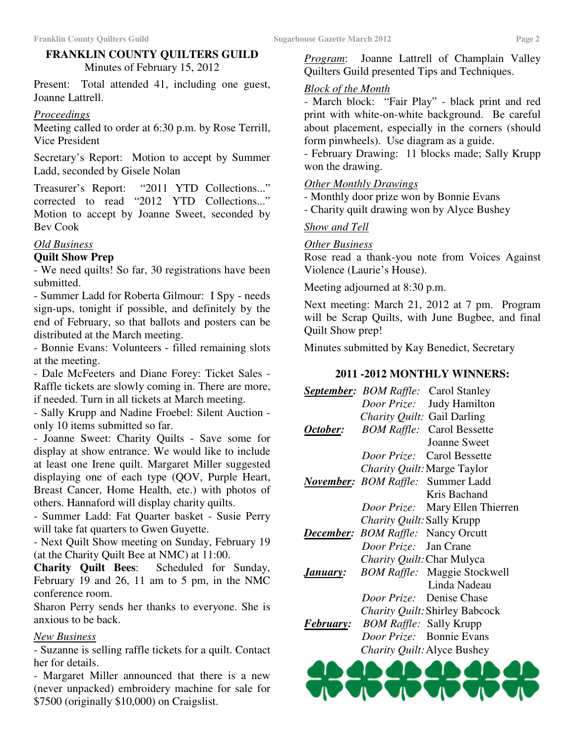## **FRANKLIN COUNTY QUILTERS GUILD** Minutes of February 15, 2012

Present: Total attended 41, including one guest, Joanne Lattrell.

#### *Proceedings*

Meeting called to order at 6:30 p.m. by Rose Terrill, Vice President

Secretary's Report: Motion to accept by Summer Ladd, seconded by Gisele Nolan

Treasurer's Report: "2011 YTD Collections..." corrected to read "2012 YTD Collections..." Motion to accept by Joanne Sweet, seconded by Bev Cook

## *Old Business*

## **Quilt Show Prep**

- We need quilts! So far, 30 registrations have been submitted.

- Summer Ladd for Roberta Gilmour: I Spy - needs sign-ups, tonight if possible, and definitely by the end of February, so that ballots and posters can be distributed at the March meeting.

- Bonnie Evans: Volunteers - filled remaining slots at the meeting.

- Dale McFeeters and Diane Forey: Ticket Sales - Raffle tickets are slowly coming in. There are more, if needed. Turn in all tickets at March meeting.

- Sally Krupp and Nadine Froebel: Silent Auction only 10 items submitted so far.

- Joanne Sweet: Charity Quilts - Save some for display at show entrance. We would like to include at least one Irene quilt. Margaret Miller suggested displaying one of each type (QOV, Purple Heart, Breast Cancer, Home Health, etc.) with photos of others. Hannaford will display charity quilts.

- Summer Ladd: Fat Quarter basket - Susie Perry will take fat quarters to Gwen Guyette.

- Next Quilt Show meeting on Sunday, February 19 (at the Charity Quilt Bee at NMC) at 11:00.

**Charity Quilt Bees**: Scheduled for Sunday, February 19 and 26, 11 am to 5 pm, in the NMC conference room.

Sharon Perry sends her thanks to everyone. She is anxious to be back.

## *New Business*

- Suzanne is selling raffle tickets for a quilt. Contact her for details.

- Margaret Miller announced that there is a new (never unpacked) embroidery machine for sale for \$7500 (originally \$10,000) on Craigslist.

*Program*: Joanne Lattrell of Champlain Valley Quilters Guild presented Tips and Techniques.

## *Block of the Month*

- March block: "Fair Play" - black print and red print with white-on-white background. Be careful about placement, especially in the corners (should form pinwheels). Use diagram as a guide.

- February Drawing: 11 blocks made; Sally Krupp won the drawing.

## *Other Monthly Drawings*

- Monthly door prize won by Bonnie Evans

- Charity quilt drawing won by Alyce Bushey

*Show and Tell*

## *Other Business*

Rose read a thank-you note from Voices Against Violence (Laurie's House).

Meeting adjourned at 8:30 p.m.

Next meeting: March 21, 2012 at 7 pm. Program will be Scrap Quilts, with June Bugbee, and final Quilt Show prep!

Minutes submitted by Kay Benedict, Secretary

## **2011 -2012 MONTHLY WINNERS:**

|                  |                                           | <b>September:</b> BOM Raffle: Carol Stanley  |  |
|------------------|-------------------------------------------|----------------------------------------------|--|
|                  |                                           | Door Prize: Judy Hamilton                    |  |
|                  | Charity Quilt: Gail Darling               |                                              |  |
|                  |                                           | <b>October:</b> BOM Raffle: Carol Bessette   |  |
|                  |                                           | <b>Joanne Sweet</b>                          |  |
|                  |                                           | Door Prize: Carol Bessette                   |  |
|                  |                                           | <i>Charity Quilt:</i> Marge Taylor           |  |
|                  |                                           | <b>November:</b> BOM Raffle: Summer Ladd     |  |
|                  |                                           | Kris Bachand                                 |  |
|                  |                                           | Door Prize: Mary Ellen Thierren              |  |
|                  | <i>Charity Quilt: Sally Krupp</i>         |                                              |  |
|                  | <b>December:</b> BOM Raffle: Nancy Orcutt |                                              |  |
|                  | <i>Door Prize:</i> Jan Crane              |                                              |  |
|                  | Charity Quilt: Char Mulyca                |                                              |  |
|                  |                                           | <b>January:</b> BOM Raffle: Maggie Stockwell |  |
|                  |                                           | Linda Nadeau                                 |  |
|                  |                                           | Door Prize: Denise Chase                     |  |
|                  |                                           | Charity Quilt: Shirley Babcock               |  |
| <i>February:</i> | <b>BOM Raffle: Sally Krupp</b>            |                                              |  |
|                  |                                           | Door Prize: Bonnie Evans                     |  |
|                  |                                           | <i>Charity Quilt:</i> Alyce Bushey           |  |
|                  |                                           |                                              |  |

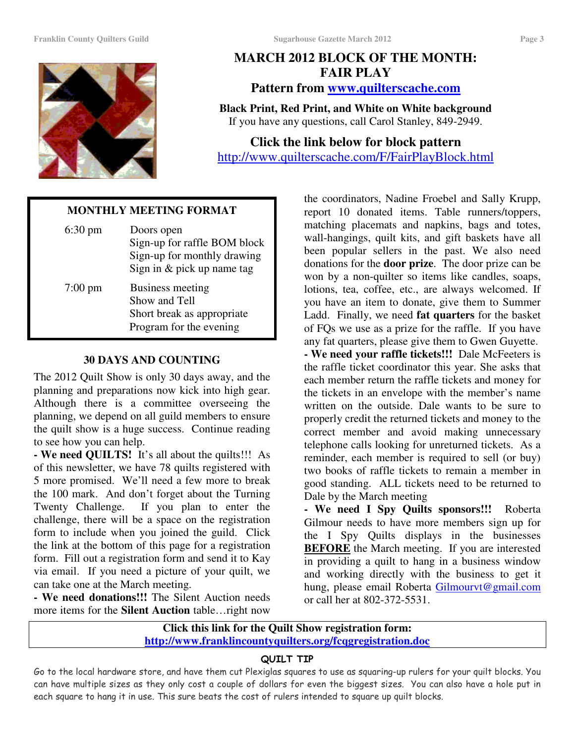

## **MARCH 2012 BLOCK OF THE MONTH: FAIR PLAY Pattern from www.quilterscache.com**

**Black Print, Red Print, and White on White background** If you have any questions, call Carol Stanley, 849-2949.

**Click the link below for block pattern** http://www.quilterscache.com/F/FairPlayBlock.html

## **MONTHLY MEETING FORMAT**

| $6:30 \text{ pm}$ | Doors open<br>Sign-up for raffle BOM block<br>Sign-up for monthly drawing<br>Sign in & pick up name tag |
|-------------------|---------------------------------------------------------------------------------------------------------|
| $7:00 \text{ pm}$ | Business meeting<br>Show and Tell<br>Short break as appropriate<br>Program for the evening              |

## **30 DAYS AND COUNTING**

The 2012 Quilt Show is only 30 days away, and the planning and preparations now kick into high gear. Although there is a committee overseeing the planning, we depend on all guild members to ensure the quilt show is a huge success. Continue reading to see how you can help.

**- We need QUILTS!** It's all about the quilts!!! As of this newsletter, we have 78 quilts registered with 5 more promised. We'll need a few more to break the 100 mark. And don't forget about the Turning<br>Twenty Challenge. If you plan to enter the If you plan to enter the challenge, there will be a space on the registration form to include when you joined the guild. Click the link at the bottom of this page for a registration form. Fill out a registration form and send it to Kay via email. If you need a picture of your quilt, we can take one at the March meeting.

**- We need donations!!!** The Silent Auction needs more items for the **Silent Auction** table…right now

the coordinators, Nadine Froebel and Sally Krupp, report 10 donated items. Table runners/toppers, matching placemats and napkins, bags and totes, wall-hangings, quilt kits, and gift baskets have all been popular sellers in the past. We also need donations for the **door prize**. The door prize can be won by a non-quilter so items like candles, soaps, lotions, tea, coffee, etc., are always welcomed. If you have an item to donate, give them to Summer Ladd. Finally, we need **fat quarters** for the basket of FQs we use as a prize for the raffle. If you have any fat quarters, please give them to Gwen Guyette.

**- We need your raffle tickets!!!** Dale McFeeters is the raffle ticket coordinator this year. She asks that each member return the raffle tickets and money for the tickets in an envelope with the member's name written on the outside. Dale wants to be sure to properly credit the returned tickets and money to the correct member and avoid making unnecessary telephone calls looking for unreturned tickets. As a reminder, each member is required to sell (or buy) two books of raffle tickets to remain a member in good standing. ALL tickets need to be returned to Dale by the March meeting

**- We need I Spy Quilts sponsors!!!** Roberta Gilmour needs to have more members sign up for the I Spy Quilts displays in the businesses **BEFORE** the March meeting. If you are interested in providing a quilt to hang in a business window and working directly with the business to get it hung, please email Roberta Gilmourvt@gmail.com or call her at 802-372-5531.

## **Click this link for the Quilt Show registration form: http://www.franklincountyquilters.org/fcqgregistration.doc**

## QUILT TIP

Go to the local hardware store, and have them cut Plexiglas squares to use as squaring-up rulers for your quilt blocks. You can have multiple sizes as they only cost a couple of dollars for even the biggest sizes. You can also have a hole put in each square to hang it in use. This sure beats the cost of rulers intended to square up quilt blocks.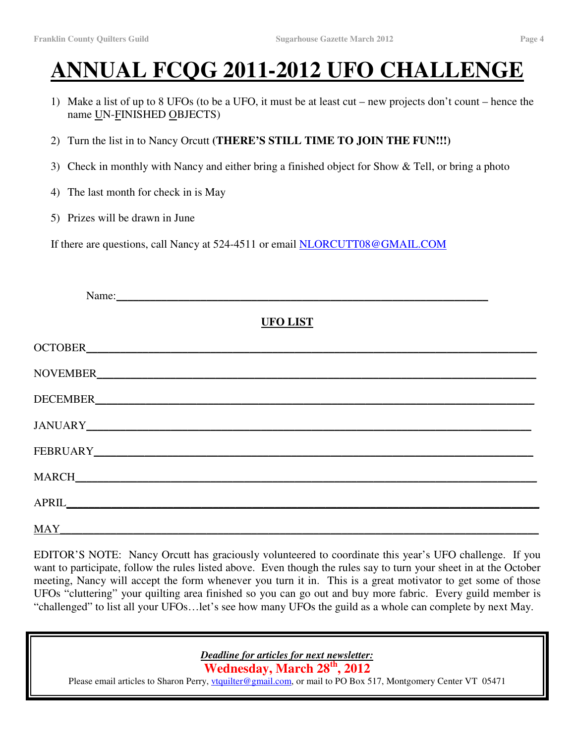# **ANNUAL FCQG 2011-2012 UFO CHALLENGE**

- 1) Make a list of up to 8 UFOs (to be a UFO, it must be at least cut new projects don't count hence the name UN-FINISHED OBJECTS)
- 2) Turn the list in to Nancy Orcutt **(THERE'S STILL TIME TO JOIN THE FUN!!!)**
- 3) Check in monthly with Nancy and either bring a finished object for Show & Tell, or bring a photo
- 4) The last month for check in is May
- 5) Prizes will be drawn in June

If there are questions, call Nancy at 524-4511 or email NLORCUTT08@GMAIL.COM

| Name:                |  |
|----------------------|--|
| <b>UFO LIST</b>      |  |
|                      |  |
|                      |  |
|                      |  |
|                      |  |
|                      |  |
|                      |  |
|                      |  |
| $\operatorname{MAY}$ |  |

EDITOR'S NOTE: Nancy Orcutt has graciously volunteered to coordinate this year's UFO challenge. If you want to participate, follow the rules listed above. Even though the rules say to turn your sheet in at the October meeting, Nancy will accept the form whenever you turn it in. This is a great motivator to get some of those UFOs "cluttering" your quilting area finished so you can go out and buy more fabric. Every guild member is "challenged" to list all your UFOs…let's see how many UFOs the guild as a whole can complete by next May.

*Deadline for articles for next newsletter:*

**Wednesday, March 28 th , 2012**

Please email articles to Sharon Perry, *vtquilter@gmail.com*, or mail to PO Box 517, Montgomery Center VT 05471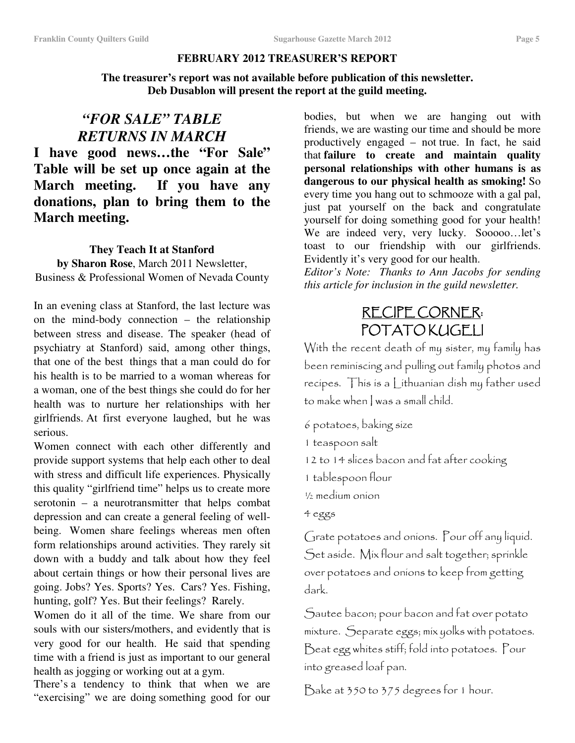## **FEBRUARY 2012 TREASURER'S REPORT**

**The treasurer's report was not available before publication of this newsletter. Deb Dusablon will present the report at the guild meeting.**

## *"FOR SALE" TABLE RETURNS IN MARCH*

**I have good news…the "For Sale" Table will be set up once again at the March meeting. If you have any donations, plan to bring them to the March meeting.**

## **They Teach It at Stanford**

**by Sharon Rose**, March 2011 Newsletter, Business & Professional Women of Nevada County

In an evening class at Stanford, the last lecture was on the mind-body connection – the relationship between stress and disease. The speaker (head of psychiatry at Stanford) said, among other things, that one of the best things that a man could do for his health is to be married to a woman whereas for a woman, one of the best things she could do for her health was to nurture her relationships with her girlfriends. At first everyone laughed, but he was serious.

Women connect with each other differently and provide support systems that help each other to deal with stress and difficult life experiences. Physically this quality "girlfriend time" helps us to create more serotonin – a neurotransmitter that helps combat depression and can create a general feeling of wellbeing. Women share feelings whereas men often form relationships around activities. They rarely sit down with a buddy and talk about how they feel about certain things or how their personal lives are going. Jobs? Yes. Sports? Yes. Cars? Yes. Fishing, hunting, golf? Yes. But their feelings? Rarely.

Women do it all of the time. We share from our souls with our sisters/mothers, and evidently that is very good for our health. He said that spending time with a friend is just as important to our general health as jogging or working out at a gym.

There's a tendency to think that when we are "exercising" we are doing something good for our

bodies, but when we are hanging out with friends, we are wasting our time and should be more productively engaged – not true. In fact, he said that **failure to create and maintain quality personal relationships with other humans is as dangerous to our physical health as smoking!** So every time you hang out to schmooze with a gal pal, just pat yourself on the back and congratulate yourself for doing something good for your health! We are indeed very, very lucky. Sooooo...let's toast to our friendship with our girlfriends. Evidently it's very good for our health.

*Editor's Note: Thanks to Ann Jacobs for sending this article for inclusion in the guild newsletter.*

## <u>RECIPE CORNER:</u> POTATOKUGELI

With the recent death of my sister, my family has been reminiscing and pulling out family photos and recipes.  $\,$  | his is a Lithuanian dish my father used to make when | was a small child.

6 potatoes, baking size

1 teaspoon salt

- 12 to 14 slices bacon and fat after cooking
- 1 tablespoon flour

 $\frac{1}{2}$  medium onion

4 eggs

Grate potatoes and onions. Pour off any liquid. Set aside. Mix flour and salt together; sprinkle over potatoes and onions to keep from getting dark.

Sautee bacon; pour bacon and fat over potato mixture. Separate eggs; mix yolks with potatoes. Beat egg whites stiff; fold into potatoes. Pour into greased loaf pan.

 $B$ ake at  $350$  to  $375$  degrees for 1 hour.